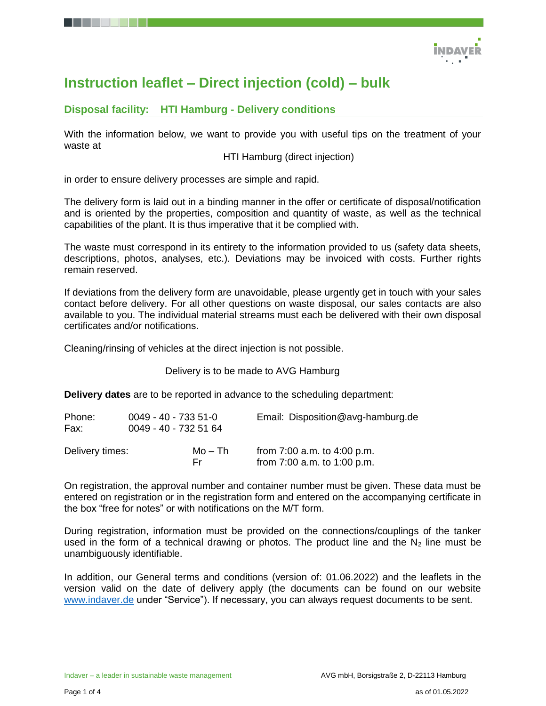

# **Instruction leaflet – Direct injection (cold) – bulk**

# **Disposal facility: HTI Hamburg - Delivery conditions**

With the information below, we want to provide you with useful tips on the treatment of your waste at

HTI Hamburg (direct injection)

in order to ensure delivery processes are simple and rapid.

The delivery form is laid out in a binding manner in the offer or certificate of disposal/notification and is oriented by the properties, composition and quantity of waste, as well as the technical capabilities of the plant. It is thus imperative that it be complied with.

The waste must correspond in its entirety to the information provided to us (safety data sheets, descriptions, photos, analyses, etc.). Deviations may be invoiced with costs. Further rights remain reserved.

If deviations from the delivery form are unavoidable, please urgently get in touch with your sales contact before delivery. For all other questions on waste disposal, our sales contacts are also available to you. The individual material streams must each be delivered with their own disposal certificates and/or notifications.

Cleaning/rinsing of vehicles at the direct injection is not possible.

Delivery is to be made to AVG Hamburg

**Delivery dates** are to be reported in advance to the scheduling department:

| Phone:<br>Fax:  | $0049 - 40 - 7335 - 51 - 0$<br>0049 - 40 - 732 51 64 |                | Email: Disposition@avg-hamburg.de                              |
|-----------------|------------------------------------------------------|----------------|----------------------------------------------------------------|
| Delivery times: |                                                      | Mo – Th<br>Fr. | from $7:00$ a.m. to $4:00$ p.m.<br>from 7:00 a.m. to 1:00 p.m. |

On registration, the approval number and container number must be given. These data must be entered on registration or in the registration form and entered on the accompanying certificate in the box "free for notes" or with notifications on the M/T form.

During registration, information must be provided on the connections/couplings of the tanker used in the form of a technical drawing or photos. The product line and the  $N_2$  line must be unambiguously identifiable.

In addition, our General terms and conditions (version of: 01.06.2022) and the leaflets in the version valid on the date of delivery apply (the documents can be found on our website [www.indaver.de](http://www.indaver.de/) under "Service"). If necessary, you can always request documents to be sent.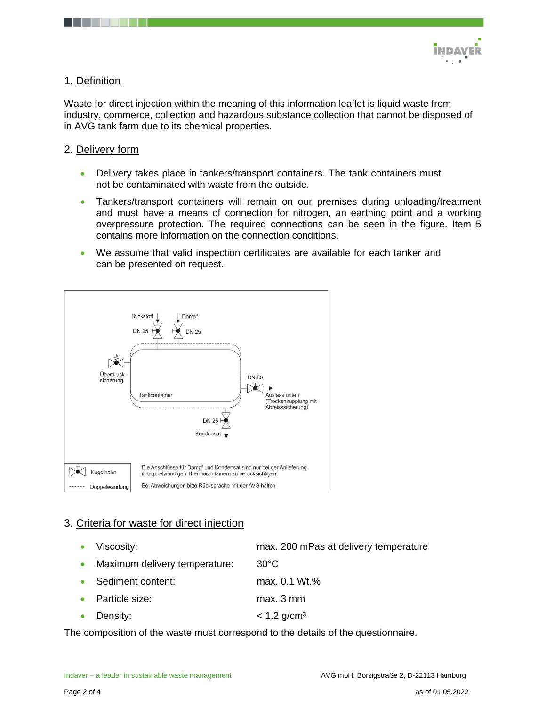

# 1. Definition

Waste for direct injection within the meaning of this information leaflet is liquid waste from industry, commerce, collection and hazardous substance collection that cannot be disposed of in AVG tank farm due to its chemical properties.

## 2. Delivery form

- Delivery takes place in tankers/transport containers. The tank containers must not be contaminated with waste from the outside.
- Tankers/transport containers will remain on our premises during unloading/treatment and must have a means of connection for nitrogen, an earthing point and a working overpressure protection. The required connections can be seen in the figure. Item 5 contains more information on the connection conditions.
- We assume that valid inspection certificates are available for each tanker and can be presented on request.



# 3. Criteria for waste for direct injection

- Viscosity: max. 200 mPas at delivery temperature Maximum delivery temperature: 30°C
- Sediment content: max. 0.1 Wt.%
- Particle size: max. 3 mm
- Density:  $\leq 1.2$  g/cm<sup>3</sup>

The composition of the waste must correspond to the details of the questionnaire.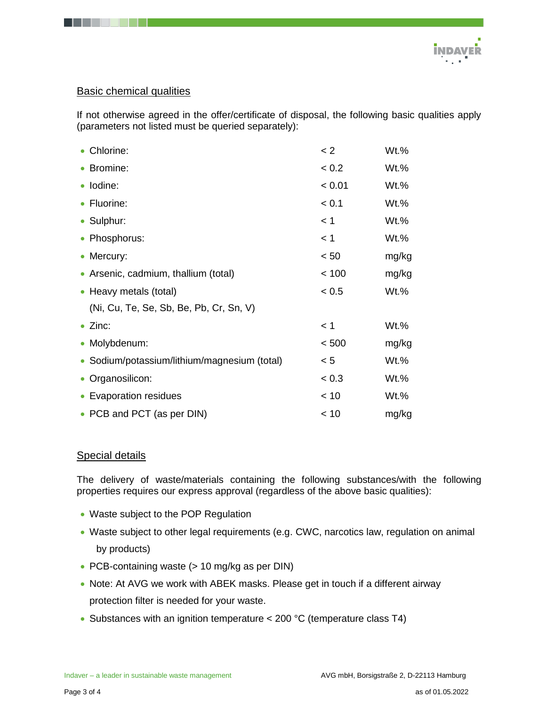

#### Basic chemical qualities

If not otherwise agreed in the offer/certificate of disposal, the following basic qualities apply (parameters not listed must be queried separately):

| • Chlorine:                                  | < 2    | Wt.%    |
|----------------------------------------------|--------|---------|
| • Bromine:                                   | < 0.2  | $Wt.$ % |
| · Iodine:                                    | < 0.01 | Wt.%    |
| • Fluorine:                                  | < 0.1  | Wt.%    |
| • Sulphur:                                   | < 1    | $Wt.\%$ |
| • Phosphorus:                                | < 1    | $Wt.\%$ |
| • Mercury:                                   | < 50   | mg/kg   |
| • Arsenic, cadmium, thallium (total)         | < 100  | mg/kg   |
| • Heavy metals (total)                       | < 0.5  | Wt.%    |
| (Ni, Cu, Te, Se, Sb, Be, Pb, Cr, Sn, V)      |        |         |
| $\bullet$ Zinc:                              | < 1    | Wt.%    |
| • Molybdenum:                                | < 500  | mg/kg   |
| • Sodium/potassium/lithium/magnesium (total) | < 5    | $Wt.\%$ |
| • Organosilicon:                             | < 0.3  | $Wt.\%$ |
| • Evaporation residues                       | < 10   | Wt.%    |
| • PCB and PCT (as per DIN)                   | < 10   | mg/kg   |

## Special details

The delivery of waste/materials containing the following substances/with the following properties requires our express approval (regardless of the above basic qualities):

- Waste subject to the POP Regulation
- Waste subject to other legal requirements (e.g. CWC, narcotics law, regulation on animal by products)
- PCB-containing waste (> 10 mg/kg as per DIN)
- Note: At AVG we work with ABEK masks. Please get in touch if a different airway protection filter is needed for your waste.
- Substances with an ignition temperature < 200 °C (temperature class T4)